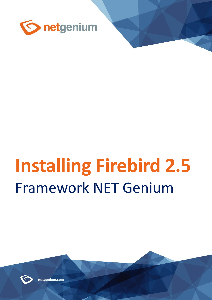

# **Installing Firebird 2.5** Framework NET Genium



netgenium.com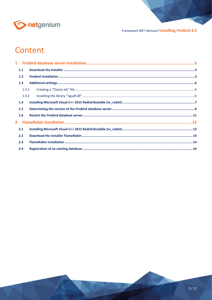

# Content

|                | 1.1   |  |
|----------------|-------|--|
|                | 1.2   |  |
|                | 1.3   |  |
|                | 1.3.1 |  |
|                | 1.3.2 |  |
|                | 1.4   |  |
|                | 1.5   |  |
|                | 1.6   |  |
| $\overline{2}$ |       |  |
|                | 2.1   |  |
|                | 2.2   |  |
|                | 2.3   |  |
|                | 2.4   |  |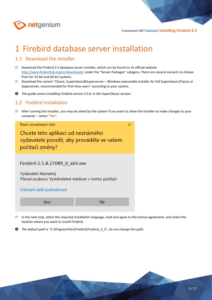

# <span id="page-2-0"></span>1 Firebird database server installation

## <span id="page-2-1"></span>1.1 Download the installer

- $\circled{c}$  Download the Firebird 2.5 database server installer, which can be found on its official website <http://www.firebirdsql.org/en/downloads/> under the "Server Packages" category. There are several variants to choose from for 32-bit and 64-bit systems.
- Download the variant "Classic, Superclassic&Superserver Windows executable installer for full Superclassic/Classic or Superserver, recommended for first-time users" according to your system.
- *This guide covers installing Firebird version 2.5.8. in the SuperClassic version.*

#### <span id="page-2-2"></span>1.2 Firebird installation

 $\Diamond$  After running the installer, you may be asked by the system if you want to allow the installer to make changes to your computer – select **"Yes"**.



- In the next step, select the required installation language, read and agree to the license agreement, and select the location where you want to install Firebird.
- O *The default path is "C:\ProgramFiles\Firebird\Firebird\_2\_5", do not change this path.*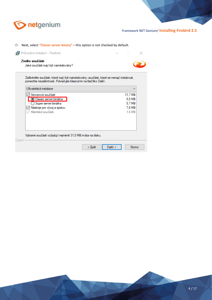

#### Next, select **"Classic server binary"** – this option is not checked by default.

|                 | Průvodce instalací - Firebird                                                                                                                              |        |         |              |  |
|-----------------|------------------------------------------------------------------------------------------------------------------------------------------------------------|--------|---------|--------------|--|
| Zvolte součásti | Jaké součásti mají být nainstalovány?                                                                                                                      |        |         |              |  |
|                 | Zaškrtněte součásti, které mají být nainstalovány; součásti, které se nemají instalovat,<br>ponechte nezaškrtnuté. Pokračujte klepnutím na tlačítko Další. |        |         |              |  |
|                 | Uživatelská instalace                                                                                                                                      |        |         | $\checkmark$ |  |
|                 | √ Serverové součásti                                                                                                                                       |        |         | 11,7 MB      |  |
|                 | - ⊙ Classic server binárka                                                                                                                                 |        |         | 5,5 MB       |  |
|                 | Super server binárka                                                                                                                                       |        |         | 5,7 MB       |  |
|                 | Nástroje pro vývoj a správu                                                                                                                                |        |         | 7.8 MB       |  |
|                 | Klientské součásti                                                                                                                                         |        |         | 1,6 MB       |  |
|                 |                                                                                                                                                            |        |         |              |  |
| Czech           | Vybrané součásti vyžadují nejméně 31,0 MB místa na disku.                                                                                                  |        |         |              |  |
|                 |                                                                                                                                                            | < Zpět | Další > | Stomo        |  |

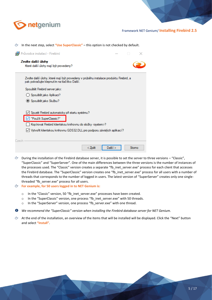

|  |  | <sup>2</sup> In the next step, select "Use SuperClassic" – this option is not checked by default. |  |  |
|--|--|---------------------------------------------------------------------------------------------------|--|--|
|--|--|---------------------------------------------------------------------------------------------------|--|--|

|       | Průvodce instalací - Firebird                                                                                                        |  |       |
|-------|--------------------------------------------------------------------------------------------------------------------------------------|--|-------|
|       | Zvolte další úlohy<br>Které další úlohy mají být provedeny?                                                                          |  |       |
|       | Zvolte další úlohy, které mají být provedeny v průběhu instalace produktu Firebird, a<br>pak pokračujte klepnutím na tlačítko Další. |  |       |
|       | Spouštět Firebird server jako:                                                                                                       |  |       |
|       | ) Spouštět jako Aplikaci?                                                                                                            |  |       |
|       | ◉ Spouštět jako Službu?                                                                                                              |  |       |
|       | Spustit Firebird automaticky při startu systému?<br>"Použít SuperClassic?"                                                           |  |       |
|       | Kopírovat Firebird klientskou knihovnu do složky <system>?</system>                                                                  |  |       |
|       | √ Vytvořit klientskou knihovnu GDS32.DLL pro podporu závislých aplikací?                                                             |  |       |
| Czech |                                                                                                                                      |  |       |
|       | Další ><br>< Zbět                                                                                                                    |  | Stomo |

- $\circled{r}$  During the installation of the Firebird database server, it is possible to set the server to three versions "Classic", "SuperClassic" and "SuperServer". One of the main differences between the three versions is the number of instances of the processes used. The "Classic" version creates a separate "fb\_inet\_server.exe" process for each client that accesses the Firebird database. The "SuperClassic" version creates one "fb\_inet\_server.exe" process for all users with a number of threads that corresponds to the number of logged in users. The latest version of "SuperServer" creates only one singlethreaded "fb\_server.exe" process for all users.
- **For example, for 50 users logged in to NET Genium is:**
	- o In the "Classic" version, 50 "fb\_inet\_server.exe" processes have been created.
	- o In the "SuperClassic" version, one process "fb\_inet\_server.exe" with 50 threads.
	- o In the "SuperServer" version, one process "fb\_server.exe" with one thread.

*We recommend the "SuperClassic" version when installing the Firebird database server for NET Genium.*

 $\Leftrightarrow$  At the end of the installation, an overview of the items that will be installed will be displayed. Click the "Next" button and select **"Install"**.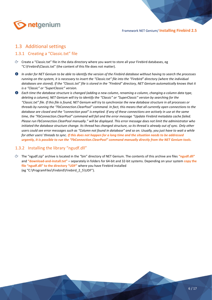

## <span id="page-5-0"></span>1.3 Additional settings

#### <span id="page-5-1"></span>1.3.1 Creating a "Classic.txt" file

- Create a "Classic.txt" file in the data directory where you want to store all your Firebird databases, eg "C:\Firebird\Classic.txt" (the content of this file does not matter).
- *In order for NET Genium to be able to identify the version of the Firebird database without having to search the processes running on the system, it is necessary to insert the "Classic.txt" file into the "Firebird" directory (where the individual databases are stored). If the "Classic.txt" file is stored in the "Firebird" directory, NET Genium automatically knows that it is a "Classic" or "SuperClassic" version.*
- *Each time the database structure is changed (adding a new column, renaming a column, changing a column data type, deleting a column), NET Genium will try to identify the "Classic" or "SuperClassic" version by searching for the "Classic.txt" file. If this file is found, NET Genium will try to synchronize the new database structure in all processes or threads by running the "FbConnection.ClearPool" command. In fact, this means that all currently open connections to the database are closed and the "connection pool" is emptied. If any of these connections are actively in use at the same time, the "FbConnection.ClearPool" command will fail and the error message "Update Firebird metadata cache failed. Please run FbConnection.ClearPool manually." will be displayed. This error message does not limit the administrator who initiated the database structure change. Its thread has changed structure, so its thread is already out of sync. Only other users could see error messages such as "Column not found in database" and so on. Usually, you just have to wait a while for other users' threads to sync. If this does not happen for a long time and the situation needs to be addressed urgently, it is possible to run the "FbConnection.ClearPool" command manually directly from the NET Genium tools.*

#### <span id="page-5-2"></span>1.3.2 Installing the library "ngudf.dll"

The "ngudf.zip" archive is located in the "bin" directory of NET Genium. The contents of this archive are files **"ngudf.dll"** and **"download-and-install.txt"** – separately in folders for 64-bit and 32-bit systems. Depending on your system **copy the file "ngudf.dll" to the directory "UDF"** where you have Firebird installed (eg "C:\ProgramFiles\Firebird\Firebird\_2\_5\UDF").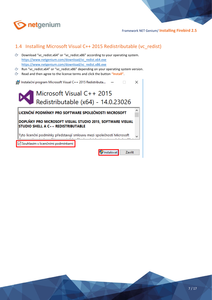

# <span id="page-6-0"></span>1.4 Installing Microsoft Visual C++ 2015 Redistributable (vc\_redist)

- Download "vc\_redist.x64" or "vc\_redist.x86" according to your operating system. [https://www.netgenium.com/download/vc\\_redist.x64.exe](https://www.netgenium.com/download/vc_redist.x64.exe) [https://www.netgenium.com/download/vc\\_redist.x86.exe](https://www.netgenium.com/download/vc_redist.x86.exe)
- Run "vc\_redist.x64" or "vc\_redist.x86" depending on your operating system version.
- Read and then agree to the license terms and click the button **"Install"**.

| Instalační program Microsoft Visual C++ 2015 Redistributa                                       |                                     |               |  |  |  |  |  |  |
|-------------------------------------------------------------------------------------------------|-------------------------------------|---------------|--|--|--|--|--|--|
|                                                                                                 | Microsoft Visual C++ 2015           |               |  |  |  |  |  |  |
|                                                                                                 | Redistributable (x64) - 14.0.23026  |               |  |  |  |  |  |  |
| LICENČNÍ PODMÍNKY PRO SOFTWARE SPOLEČNOSTI MICROSOFT                                            |                                     |               |  |  |  |  |  |  |
| DOPLŇKY PRO MICROSOFT VISUAL STUDIO 2015, SOFTWARE VISUAL<br>STUDIO SHELL A C++ REDISTRIBUTABLE |                                     |               |  |  |  |  |  |  |
| Tyto licenční podmínky představují smlouvu mezi společností Microsoft                           |                                     |               |  |  |  |  |  |  |
|                                                                                                 | √ Souhlasím s licenčními podmínkami |               |  |  |  |  |  |  |
|                                                                                                 | Instalovat                          | <b>Zavřít</b> |  |  |  |  |  |  |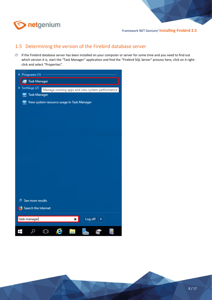

# <span id="page-7-0"></span>1.5 Determining the version of the Firebird database server

If the Firebird database server has been installed on your computer or server for some time and you need to find out which version it is, start the "Task Manager" application and find the "Firebird SQL Server" process here, click on it rightclick and select "Properties".

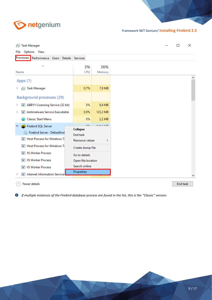

| <sub>D</sub> <sup>∞</sup> Task Manager                                 |                                                |                    |  | п | × |
|------------------------------------------------------------------------|------------------------------------------------|--------------------|--|---|---|
| Options View<br>File                                                   |                                                |                    |  |   |   |
| Processes<br>Performance Users Details Services                        |                                                |                    |  |   |   |
| ∧<br>Name                                                              | 3%<br>CPU                                      | 36%<br>Memory      |  |   |   |
| Apps (1)                                                               |                                                |                    |  |   |   |
| <sub>I</sub> ⊠ Task Manager                                            | 0,7%                                           | 7,9 MB             |  |   |   |
| Background processes (29)                                              |                                                |                    |  |   |   |
| <b>BE ABBYY Licensing Service (32 bit)</b><br>≻                        | 0%                                             | 8,4 MB             |  |   |   |
| <b>Executable</b> Antimalware Service Executable<br>≻                  | 0,9%                                           | 123,2 MB           |  |   |   |
| <b>Classic Start Menu</b>                                              | 0%                                             | 2,2 MB             |  |   |   |
| <b>B</b> Firebird SQL Server<br>$\checkmark$                           | nnz.                                           | <b>4.4.4.10.40</b> |  |   |   |
| Firebird Server - DefaultInst<br><b>TE Host Process for Windows Te</b> | Collapse<br><b>End task</b><br>Resource values | $\rightarrow$      |  |   |   |
| <b>TEL</b> Host Process for Windows T.                                 | Create dump file                               |                    |  |   |   |
| <b>TE IIS Worker Process</b>                                           | Go to details                                  |                    |  |   |   |
| <b>TE IS Worker Process</b>                                            | Open file location                             |                    |  |   |   |
| <b>TE IS Worker Process</b>                                            | Search online                                  |                    |  |   |   |
| <b>E Internet Information Service!</b>                                 | Properties                                     |                    |  |   |   |
|                                                                        |                                                |                    |  |   |   |

 $\circled{\Diamond}$  Fewer details

End task

*If multiple instances of the Firebird database process are found in the list, this is the "Classic" version.*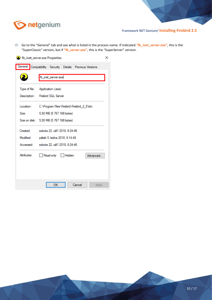

Go to the "General" tab and see what is listed in the process name. If indicated **"fb\_inet\_server.exe"**, this is the "SuperClassic" version, but if **"fb\_server.exe"**, this is the "SuperServer" version.



10 / 17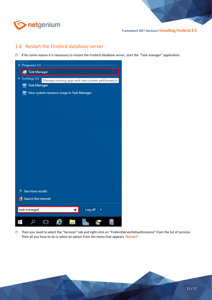

## <span id="page-10-0"></span>1.6 Restart the Firebird database server

If for some reason it is necessary to restart the Firebird database server, start the "Task manager" application.



Then you need to select the "Services" tab and right-click on "FirebirdServerDefaultInstance" from the list of services. Then all you have to do is select an option from the menu that appears **"Restart"**.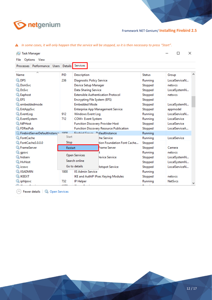

| <sub>D</sub> ⊠ Task Manager |                               |  |                |                                          |  |                                           |                | ×<br>П        |  |
|-----------------------------|-------------------------------|--|----------------|------------------------------------------|--|-------------------------------------------|----------------|---------------|--|
| Options View<br>File        |                               |  |                |                                          |  |                                           |                |               |  |
| Processes Performance Users |                               |  | Details        | Services                                 |  |                                           |                |               |  |
| Name                        | ᆽ                             |  | PID            | Description                              |  |                                           | <b>Status</b>  | Group         |  |
| <b>O</b> DPS                |                               |  | 236            | Diagnostic Policy Service                |  |                                           | Running        | LocalServiceN |  |
| <b>Ok</b> DsmSvc            |                               |  |                | Device Setup Manager                     |  |                                           | Stopped        | netsycs       |  |
| <b>Ok</b> DsSvc             |                               |  |                | Data Sharing Service                     |  |                                           | Stopped        | LocalSystemN  |  |
| <b>C</b> Eaphost            |                               |  |                |                                          |  | <b>Extensible Authentication Protocol</b> | Stopped        | netsycs       |  |
| <b>Q</b> EFS                |                               |  |                | Encrypting File System (EFS)             |  |                                           | Stopped        |               |  |
| embeddedmode                |                               |  |                | <b>Embedded Mode</b>                     |  |                                           | Stopped        | LocalSystemN  |  |
| <b>EntAppSvc</b>            |                               |  |                | <b>Enterprise App Management Service</b> |  |                                           | Stopped        | appmodel      |  |
| <b>C</b> EventLog           |                               |  | 912            | Windows Event Log                        |  |                                           | Running        | LocalServiceN |  |
| <b>EventSystem</b>          |                               |  | 712            | COM+ Event System                        |  |                                           | Running        | LocalService  |  |
| <b>Qk</b> fdPHost           |                               |  |                | <b>Function Discovery Provider Host</b>  |  |                                           | Stopped        | LocalService  |  |
| <b>CA</b> FDResPub          |                               |  |                | Function Discovery Resource Publication  |  |                                           | Stopped        | LocalServiceA |  |
|                             | FirebirdServerDefaultInstance |  | 1000           |                                          |  | Eirobird Sonror DefaultInstance           | Running        |               |  |
| <b>C</b> FontCache          |                               |  | Start          |                                          |  | the Service                               | Running        | LocalService  |  |
| FontCache3.0.0.0            |                               |  | Stop           |                                          |  | tion Foundation Font Cache                | Stopped        |               |  |
| <b>E</b> rameServer         |                               |  | <b>Restart</b> |                                          |  | <b>Frame Server</b>                       | Stopped        | Camera        |  |
| <b>Q</b> gpsvc              |                               |  |                |                                          |  |                                           | Running        | netsycs       |  |
| <b>A</b> hidserv            |                               |  |                | <b>Open Services</b>                     |  | levice Service                            | Stopped        | LocalSystemN  |  |
| <b>K</b> HvHost             |                               |  |                | Search online                            |  |                                           | Stopped        | LocalSystemN  |  |
| <b>CALICSSVC</b>            |                               |  |                | Go to details                            |  | <b>Hotspot Service</b>                    | Stopped        | LocalServiceN |  |
| <b>WE IISADMIN</b>          |                               |  | 1800           | <b>IIS Admin Service</b>                 |  |                                           | Running        |               |  |
| <b>A IKEEXT</b>             |                               |  |                |                                          |  | IKE and AuthIP IPsec Keying Modules       | Stopped        | netsycs       |  |
| iphlpsvc.                   |                               |  | 732            | <b>IP Helper</b>                         |  | Running                                   | <b>NetSvcs</b> |               |  |

*In some cases, it will only happen that the service will be stopped, so it is then necessary to press "Start".*

Rewer details | Ch Open Services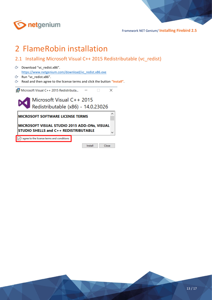

# <span id="page-12-0"></span>2 FlameRobin installation

- <span id="page-12-1"></span>2.1 Installing Microsoft Visual C++ 2015 Redistributable (vc\_redist)
- Download "vc\_redist.x86". [https://www.netgenium.com/download/vc\\_redist.x86.exe](https://www.netgenium.com/download/vc_redist.x86.exe)
- $C$  Run "vc\_redist.x86".
- Read and then agree to the license terms and click the button **"Install"**.

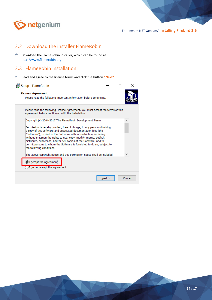

# <span id="page-13-0"></span>2.2 Download the installer FlameRobin

 $\circlearrowright$  Download the FlameRobin installer, which can be found at: [http://www.flamerobin.org](http://www.flamerobin.org/)

## <span id="page-13-1"></span>2.3 FlameRobin installation

Read and agree to the license terms and click the button **"Next"**.

| Setup - FlameRobin |  |
|--------------------|--|
|--------------------|--|

#### **License Agreement**

Please read the following important information before continuing.



 $\Box$ 

Please read the following License Agreement. You must accept the terms of this agreement before continuing with the installation.

| Next >                                                                                                                                                                                                                                                                                                                                                                                    | Cancel |
|-------------------------------------------------------------------------------------------------------------------------------------------------------------------------------------------------------------------------------------------------------------------------------------------------------------------------------------------------------------------------------------------|--------|
|                                                                                                                                                                                                                                                                                                                                                                                           |        |
| I do not accept the agreement                                                                                                                                                                                                                                                                                                                                                             |        |
| ))I accept the agreement                                                                                                                                                                                                                                                                                                                                                                  |        |
| The above copyright notice and this permission notice shall be included                                                                                                                                                                                                                                                                                                                   |        |
| a copy of this software and associated documentation files (the<br>"Software"), to deal in the Software without restriction, including<br>without limitation the rights to use, copy, modify, merge, publish,<br>distribute, sublicense, and/or sell copies of the Software, and to<br>permit persons to whom the Software is furnished to do so, subject to<br>the following conditions: |        |
| Permission is hereby granted, free of charge, to any person obtaining                                                                                                                                                                                                                                                                                                                     |        |
| Copyright (c) 2004-2017 The FlameRobin Development Team                                                                                                                                                                                                                                                                                                                                   |        |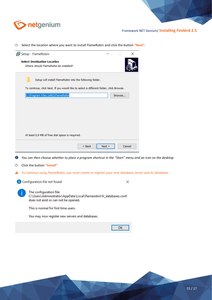

Select the location where you want to install FlameRobin and click the button **"Next"**.

| Setup - FlameRobin                                                                                      |        |        | П      | ×      |  |
|---------------------------------------------------------------------------------------------------------|--------|--------|--------|--------|--|
| <b>Select Destination Location</b>                                                                      |        |        |        |        |  |
| Where should FlameRobin be installed?                                                                   |        |        |        |        |  |
|                                                                                                         |        |        |        |        |  |
|                                                                                                         |        |        |        |        |  |
| Setup will install FlameRobin into the following folder.                                                |        |        |        |        |  |
| To continue, click Next. If you would like to select a different folder, click Browse.                  |        |        |        |        |  |
| C:\Program Files (x86)\FlameRobin                                                                       |        |        | Browse |        |  |
|                                                                                                         |        |        |        |        |  |
|                                                                                                         |        |        |        |        |  |
|                                                                                                         |        |        |        |        |  |
|                                                                                                         |        |        |        |        |  |
|                                                                                                         |        |        |        |        |  |
|                                                                                                         |        |        |        |        |  |
|                                                                                                         |        |        |        |        |  |
| At least 0,9 MB of free disk space is required.                                                         |        |        |        |        |  |
|                                                                                                         |        |        |        |        |  |
|                                                                                                         | $Back$ | Next > |        | Cancel |  |
|                                                                                                         |        |        |        |        |  |
| You can then choose whether to place a program shortcut in the "Start" menu and an icon on the desktop. |        |        |        |        |  |
| Click the button "Install"                                                                              |        |        |        |        |  |
|                                                                                                         |        |        |        |        |  |
| To continue using FlameRobin, you must create or register your new database server and its database.    |        |        |        |        |  |
|                                                                                                         |        |        |        |        |  |
| Configuration file not found                                                                            |        |        |        | X      |  |
|                                                                                                         |        |        |        |        |  |
| The configuration file:                                                                                 |        |        |        |        |  |
| C:\Users\Administrator\AppData\Local\flamerobin\fr_databases.conf                                       |        |        |        |        |  |
| does not exist or can not be opened.                                                                    |        |        |        |        |  |
| This is normal for first time users.                                                                    |        |        |        |        |  |
| You may now register new servers and databases.                                                         |        |        |        |        |  |
|                                                                                                         |        |        |        |        |  |
|                                                                                                         |        |        | ок     |        |  |
|                                                                                                         |        |        |        |        |  |

15 / 17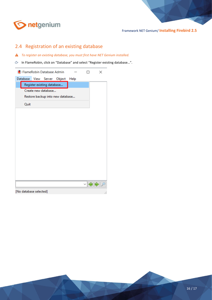

# <span id="page-15-0"></span>2.4 Registration of an existing database

- *To register an existing database, you must first have NET Genium installed.*
- In FlameRobin, click on "Database" and select "Register existing database…".